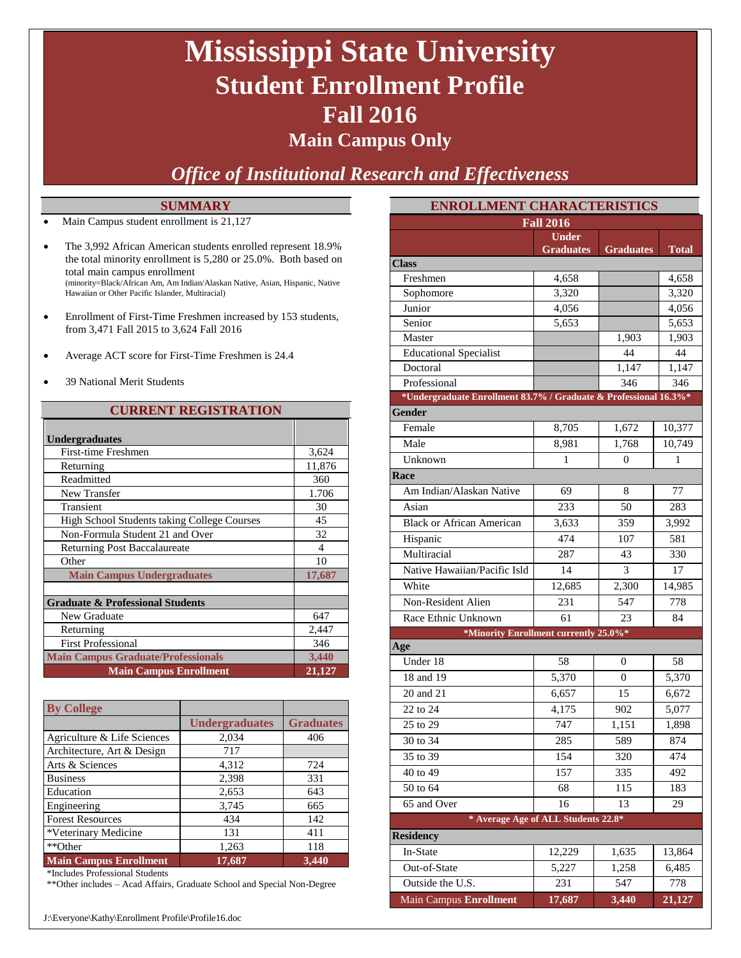## **Mississippi State University Student Enrollment Profile Fall 2016**

### **Main Campus Only**

*Office of Institutional Research and Effectiveness*

#### **SUMMARY**

- Main Campus student enrollment is 21,127
- The 3,992 African American students enrolled represent 18.9% the total minority enrollment is 5,280 or 25.0%. Both based on total main campus enrollment (minority=Black/African Am, Am Indian/Alaskan Native, Asian, Hispanic, Native Hawaiian or Other Pacific Islander, Multiracial)
- Enrollment of First-Time Freshmen increased by 153 students, from 3,471 Fall 2015 to 3,624 Fall 2016
- Average ACT score for First-Time Freshmen is 24.4
- 39 National Merit Students

#### **CURRENT REGISTRATION**

| <b>Undergraduates</b>                              |                          |
|----------------------------------------------------|--------------------------|
| First-time Freshmen                                | 3,624                    |
| Returning                                          | 11,876                   |
| Readmitted                                         | 360                      |
| New Transfer                                       | 1.706                    |
| Transient                                          | 30                       |
| <b>High School Students taking College Courses</b> | 45                       |
| Non-Formula Student 21 and Over                    | 32                       |
| <b>Returning Post Baccalaureate</b>                | $\overline{\mathcal{A}}$ |
| Other                                              | 10                       |
| <b>Main Campus Undergraduates</b>                  | 17,687                   |
|                                                    |                          |
| <b>Graduate &amp; Professional Students</b>        |                          |
| New Graduate                                       | 647                      |
| Returning                                          | 2,447                    |
| <b>First Professional</b>                          | 346                      |
| <b>Main Campus Graduate/Professionals</b>          | 3,440                    |
| <b>Main Campus Enrollment</b>                      | 21,127                   |

| <b>By College</b>             |                       |                  |
|-------------------------------|-----------------------|------------------|
|                               | <b>Undergraduates</b> | <b>Graduates</b> |
| Agriculture & Life Sciences   | 2,034                 | 406              |
| Architecture, Art & Design    | 717                   |                  |
| Arts & Sciences               | 4,312                 | 724              |
| <b>Business</b>               | 2,398                 | 331              |
| Education                     | 2,653                 | 643              |
| Engineering                   | 3,745                 | 665              |
| <b>Forest Resources</b>       | 434                   | 142              |
| *Veterinary Medicine          | 131                   | 411              |
| **Other                       | 1,263                 | 118              |
| <b>Main Campus Enrollment</b> | 17,687                | 3,440            |

\*Includes Professional Students

\*\*Other includes – Acad Affairs, Graduate School and Special Non-Degree

| <b>ENROLLMENT CHARACTERISTICS</b>                                |                                  |                  |        |  |  |  |  |
|------------------------------------------------------------------|----------------------------------|------------------|--------|--|--|--|--|
| <b>Fall 2016</b>                                                 |                                  |                  |        |  |  |  |  |
|                                                                  | <b>Under</b><br><b>Graduates</b> | <b>Graduates</b> | Total  |  |  |  |  |
| <b>Class</b>                                                     |                                  |                  |        |  |  |  |  |
| Freshmen                                                         | 4,658                            |                  | 4,658  |  |  |  |  |
| Sophomore                                                        | 3,320                            |                  | 3,320  |  |  |  |  |
| Junior                                                           | 4,056                            |                  | 4,056  |  |  |  |  |
| Senior                                                           | 5,653                            |                  | 5,653  |  |  |  |  |
| Master                                                           |                                  | 1,903            | 1,903  |  |  |  |  |
| <b>Educational Specialist</b>                                    |                                  | 44               | 44     |  |  |  |  |
| Doctoral                                                         |                                  | 1,147            | 1,147  |  |  |  |  |
| Professional                                                     |                                  | 346              | 346    |  |  |  |  |
| *Undergraduate Enrollment 83.7% / Graduate & Professional 16.3%* |                                  |                  |        |  |  |  |  |
| Gender                                                           |                                  |                  |        |  |  |  |  |
| Female                                                           | 8,705                            | 1,672            | 10,377 |  |  |  |  |
| Male                                                             | 8,981                            | 1,768            | 10,749 |  |  |  |  |
| Unknown                                                          | 1                                | 0                | 1      |  |  |  |  |
| Race                                                             |                                  |                  |        |  |  |  |  |
| Am Indian/Alaskan Native                                         | 69                               | 8                | 77     |  |  |  |  |
| Asian                                                            | 233                              | 50               | 283    |  |  |  |  |
| <b>Black or African American</b>                                 | 3,633                            | 359              | 3,992  |  |  |  |  |
| Hispanic                                                         | 474                              | 107              | 581    |  |  |  |  |
| Multiracial                                                      | 287                              | 43               | 330    |  |  |  |  |
| Native Hawaiian/Pacific Isld                                     | 14                               | 3                | 17     |  |  |  |  |
| White                                                            | 12,685                           | 2,300            | 14,985 |  |  |  |  |
| Non-Resident Alien                                               | 231                              | 547              | 778    |  |  |  |  |
| Race Ethnic Unknown                                              | 61                               | 23               | 84     |  |  |  |  |
| *Minority Enrollment currently 25.0%*                            |                                  |                  |        |  |  |  |  |
| Age                                                              |                                  |                  |        |  |  |  |  |
| Under 18                                                         | 58                               | 0                | 58     |  |  |  |  |
| 18 and 19                                                        | 5,370                            | 0                | 5,370  |  |  |  |  |
| 20 and 21                                                        | 6,657                            | 15               | 6,672  |  |  |  |  |
| 22 to 24                                                         | 4,175                            | 902              | 5,077  |  |  |  |  |
| 25 to 29                                                         | 747                              | 1,151            | 1,898  |  |  |  |  |
| 30 to 34                                                         | 285                              | 589              | 874    |  |  |  |  |
| 35 to 39                                                         | 154                              | 320              | 474    |  |  |  |  |
| $\frac{1}{40}$ to 49                                             | 157                              | 335              | 492    |  |  |  |  |
| 50 to 64                                                         | 68                               | 115              | 183    |  |  |  |  |
| 65 and Over                                                      | 16                               | 13               | 29     |  |  |  |  |
| * Average Age of ALL Students 22.8*                              |                                  |                  |        |  |  |  |  |
| <b>Residency</b>                                                 |                                  |                  |        |  |  |  |  |
| In-State                                                         | 12,229                           | 1,635            | 13,864 |  |  |  |  |
| Out-of-State                                                     | 5,227                            | 1,258            | 6,485  |  |  |  |  |
| Outside the U.S.                                                 | 231                              | 547              | 778    |  |  |  |  |
| <b>Main Campus Enrollment</b>                                    | 17,687                           | 3,440            | 21,127 |  |  |  |  |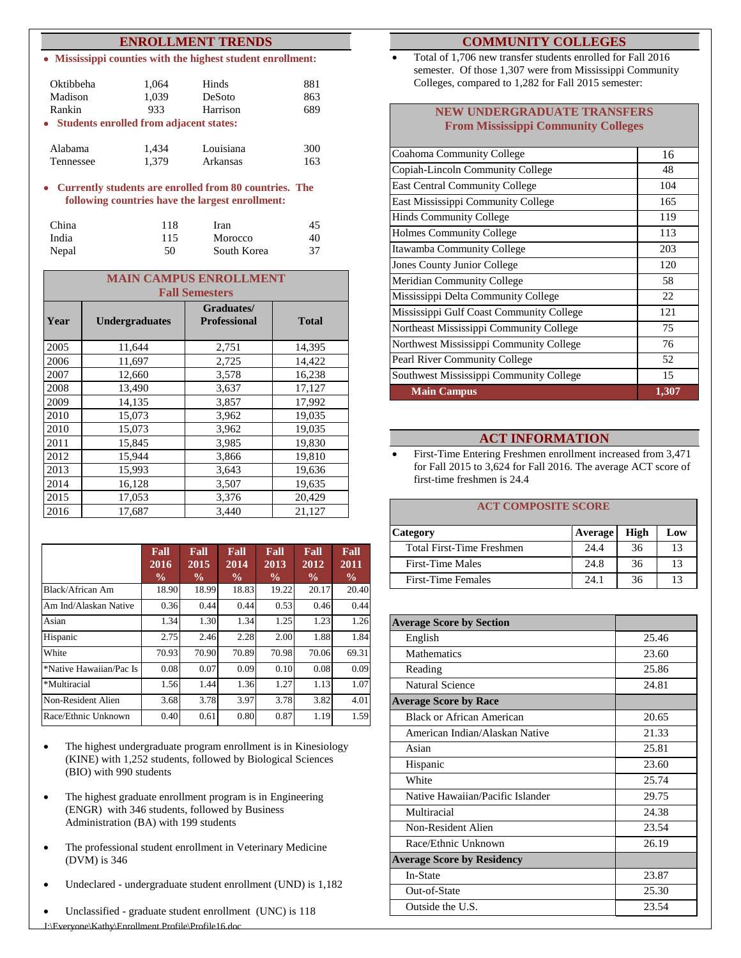#### **ENROLLMENT TRENDS**

**Mississippi counties with the highest student enrollment:**

| Oktibbeha                                 | 1,064 | Hinds     | 881 |
|-------------------------------------------|-------|-----------|-----|
| Madison                                   | 1,039 | DeSoto    | 863 |
| Rankin                                    | 933   | Harrison  | 689 |
| • Students enrolled from adjacent states: |       |           |     |
| Alabama                                   | 1.434 | Louisiana | 300 |
| Tennessee                                 | 1.379 | Arkansas  | 163 |

**Currently students are enrolled from 80 countries. The following countries have the largest enrollment:**

| China | 118 | Iran        | 45 |
|-------|-----|-------------|----|
| India | 115 | Morocco     | 40 |
| Nepal | 50  | South Korea | 37 |

| <b>MAIN CAMPUS ENROLLMENT</b><br><b>Fall Semesters</b> |                       |                                   |              |  |  |
|--------------------------------------------------------|-----------------------|-----------------------------------|--------------|--|--|
| Year                                                   | <b>Undergraduates</b> | Graduates/<br><b>Professional</b> | <b>Total</b> |  |  |
| 2005                                                   | 11,644                | 2,751                             | 14,395       |  |  |
| 2006                                                   | 11,697                | 2,725                             | 14,422       |  |  |
| 2007                                                   | 12,660                | 3,578                             | 16,238       |  |  |
| 2008                                                   | 13,490                | 3,637                             | 17,127       |  |  |
| 2009                                                   | 14,135                | 3,857                             | 17,992       |  |  |
| 2010                                                   | 15,073                | 3,962                             | 19,035       |  |  |
| 2010                                                   | 15,073                | 3,962                             | 19,035       |  |  |
| 2011                                                   | 15,845                | 3,985                             | 19,830       |  |  |
| 2012                                                   | 15,944                | 3,866                             | 19,810       |  |  |
| 2013                                                   | 15,993                | 3,643                             | 19,636       |  |  |
| 2014                                                   | 16,128                | 3,507                             | 19,635       |  |  |
| 2015                                                   | 17,053                | 3,376                             | 20,429       |  |  |
| 2016                                                   | 17,687                | 3,440                             | 21,127       |  |  |

|                         | Fall<br>2016<br>$\frac{0}{0}$ | Fall<br>2015<br>$\frac{0}{0}$ | Fall<br>2014<br>$\frac{0}{0}$ | Fall<br>2013<br>$\frac{0}{0}$ | Fall<br>$20\overline{12}$<br>$\frac{0}{0}$ | Fall<br>2011<br>$\frac{0}{0}$ |
|-------------------------|-------------------------------|-------------------------------|-------------------------------|-------------------------------|--------------------------------------------|-------------------------------|
| Black/African Am        | 18.90                         | 18.99                         | 18.83                         | 19.22                         | 20.17                                      | 20.40                         |
| Am Ind/Alaskan Native   | 0.36                          | 0.44                          | 0.44                          | 0.53                          | 0.46                                       | 0.44                          |
| Asian                   | 1.34                          | 1.30                          | 1.34                          | 1.25                          | 1.23                                       | 1.26                          |
| Hispanic                | 2.75                          | 2.46                          | 2.28                          | 2.00                          | 1.88                                       | 1.84                          |
| White                   | 70.93                         | 70.90                         | 70.89                         | 70.98                         | 70.06                                      | 69.31                         |
| *Native Hawaiian/Pac Is | 0.08                          | 0.07                          | 0.09                          | 0.10                          | 0.08                                       | 0.09                          |
| *Multiracial            | 1.56                          | 1.44                          | 1.36                          | 1.27                          | 1.13                                       | 1.07                          |
| Non-Resident Alien      | 3.68                          | 3.78                          | 3.97                          | 3.78                          | 3.82                                       | 4.01                          |
| Race/Ethnic Unknown     | 0.40                          | 0.61                          | 0.80                          | 0.87                          | 1.19                                       | 1.59                          |

- The highest undergraduate program enrollment is in Kinesiology (KINE) with 1,252 students, followed by Biological Sciences (BIO) with 990 students
- The highest graduate enrollment program is in Engineering (ENGR) with 346 students, followed by Business Administration (BA) with 199 students
- The professional student enrollment in Veterinary Medicine (DVM) is 346
- Undeclared undergraduate student enrollment (UND) is 1,182
- Unclassified graduate student enrollment (UNC) is 118

#### **COMMUNITY COLLEGES**

 Total of 1,706 new transfer students enrolled for Fall 2016 semester. Of those 1,307 were from Mississippi Community Colleges, compared to 1,282 for Fall 2015 semester:

#### **NEW UNDERGRADUATE TRANSFERS From Mississippi Community Colleges**

| Coahoma Community College                | 16    |
|------------------------------------------|-------|
| Copiah-Lincoln Community College         | 48    |
| <b>East Central Community College</b>    | 104   |
| East Mississippi Community College       | 165   |
| <b>Hinds Community College</b>           | 119   |
| <b>Holmes Community College</b>          | 113   |
| Itawamba Community College               | 203   |
| <b>Jones County Junior College</b>       | 120   |
| <b>Meridian Community College</b>        | 58    |
| Mississippi Delta Community College      | 22    |
| Mississippi Gulf Coast Community College | 121   |
| Northeast Mississippi Community College  | 75    |
| Northwest Mississippi Community College  | 76    |
| <b>Pearl River Community College</b>     | 52    |
| Southwest Mississippi Community College  | 15    |
| <b>Main Campus</b>                       | 1,307 |

#### **ACT INFORMATION**

 First-Time Entering Freshmen enrollment increased from 3,471 for Fall 2015 to 3,624 for Fall 2016. The average ACT score of first-time freshmen is 24.4

#### **ACT COMPOSITE SCORE**

| Category                  | Average | High | Low |
|---------------------------|---------|------|-----|
| Total First-Time Freshmen | 24.4    | 36   | 13  |
| <b>First-Time Males</b>   | 24.8    | 36   | 13  |
| <b>First-Time Females</b> | 24.1    | 36   | 13  |

| <b>Average Score by Section</b>   |       |
|-----------------------------------|-------|
| English                           | 25.46 |
| <b>Mathematics</b>                | 23.60 |
| Reading                           | 25.86 |
| <b>Natural Science</b>            | 24.81 |
| <b>Average Score by Race</b>      |       |
| Black or African American         | 20.65 |
| American Indian/Alaskan Native    | 21.33 |
| Asian                             | 25.81 |
| Hispanic                          | 23.60 |
| White                             | 25.74 |
| Native Hawaiian/Pacific Islander  | 29.75 |
| Multiracial                       | 24.38 |
| Non-Resident Alien                | 23.54 |
| Race/Ethnic Unknown               | 26.19 |
| <b>Average Score by Residency</b> |       |
| In-State                          | 23.87 |
| Out-of-State                      | 25.30 |
| Outside the U.S.                  | 23.54 |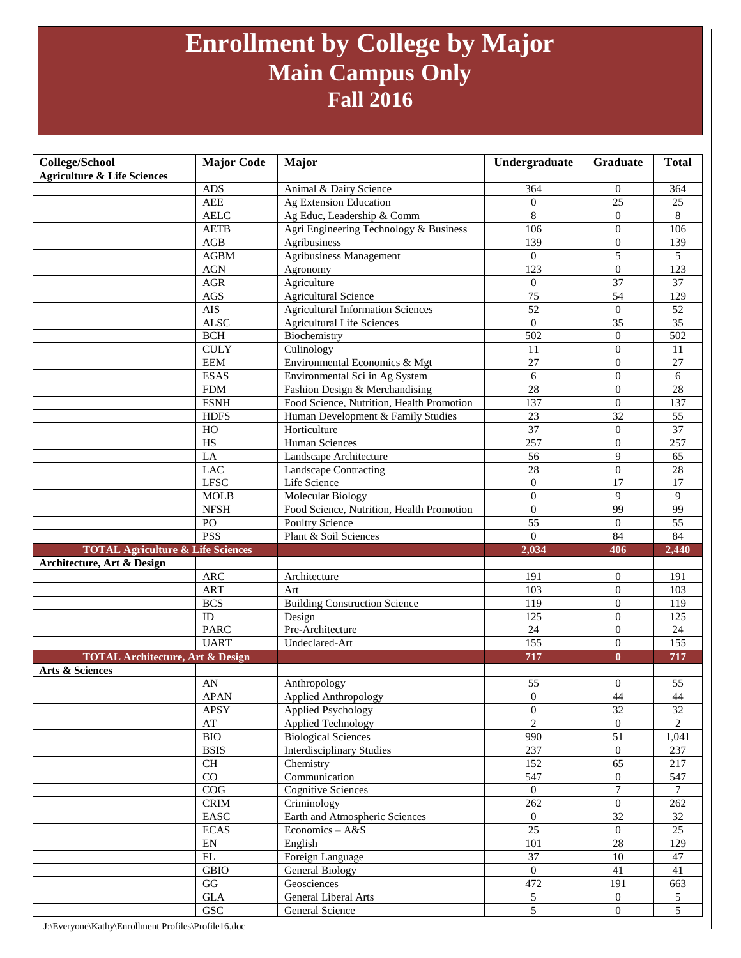### **Enrollment by College by Major Main Campus Only Fall 2016**

| College/School                                                            | <b>Major Code</b>            | Major                                                               | Undergraduate                    | Graduate                         | <b>Total</b>                      |
|---------------------------------------------------------------------------|------------------------------|---------------------------------------------------------------------|----------------------------------|----------------------------------|-----------------------------------|
| <b>Agriculture &amp; Life Sciences</b>                                    |                              |                                                                     |                                  |                                  |                                   |
|                                                                           | <b>ADS</b>                   | Animal & Dairy Science                                              | 364                              | $\theta$                         | 364                               |
|                                                                           | <b>AEE</b>                   | Ag Extension Education                                              | $\theta$                         | 25                               | 25                                |
|                                                                           | <b>AELC</b>                  | Ag Educ, Leadership & Comm                                          | $\,$ 8 $\,$                      | $\theta$                         | $8\,$                             |
|                                                                           | <b>AETB</b>                  | Agri Engineering Technology & Business                              | 106                              | $\boldsymbol{0}$                 | 106                               |
|                                                                           | AGB                          | Agribusiness                                                        | 139                              | $\overline{0}$                   | 139                               |
|                                                                           | <b>AGBM</b>                  | Agribusiness Management                                             | $\overline{0}$                   | 5                                | 5                                 |
|                                                                           | <b>AGN</b>                   | Agronomy                                                            | 123                              | $\boldsymbol{0}$                 | 123                               |
|                                                                           | <b>AGR</b>                   | Agriculture                                                         | $\overline{0}$                   | 37                               | 37                                |
|                                                                           | $\rm{AGS}$                   | <b>Agricultural Science</b>                                         | 75                               | 54                               | 129                               |
|                                                                           | <b>AIS</b>                   | <b>Agricultural Information Sciences</b>                            | 52                               | $\mathbf{0}$                     | $\overline{52}$                   |
|                                                                           | <b>ALSC</b>                  | <b>Agricultural Life Sciences</b>                                   | $\theta$                         | $\overline{35}$                  | $\overline{35}$                   |
|                                                                           | <b>BCH</b>                   | Biochemistry                                                        | 502                              | $\theta$                         | 502                               |
|                                                                           | <b>CULY</b>                  | Culinology                                                          | 11                               | $\Omega$                         | 11                                |
|                                                                           | <b>EEM</b>                   | Environmental Economics & Mgt                                       | 27                               | $\theta$                         | 27                                |
|                                                                           | <b>ESAS</b>                  | Environmental Sci in Ag System                                      | 6                                | $\overline{0}$                   | 6                                 |
|                                                                           | ${\rm FDM}$                  | Fashion Design & Merchandising                                      | $\overline{28}$                  | $\theta$                         | 28                                |
|                                                                           | <b>FSNH</b>                  | Food Science, Nutrition, Health Promotion                           | 137                              | $\Omega$                         | 137                               |
|                                                                           | <b>HDFS</b>                  | Human Development & Family Studies                                  | 23                               | $\overline{32}$                  | 55                                |
|                                                                           | HO                           | Horticulture                                                        | 37                               | $\mathbf{0}$                     | 37                                |
|                                                                           | HS                           | <b>Human Sciences</b>                                               | 257                              | $\theta$                         | 257                               |
|                                                                           | LA                           | Landscape Architecture                                              | 56                               | 9                                | 65                                |
|                                                                           | LAC                          | <b>Landscape Contracting</b>                                        | $\overline{28}$                  | $\overline{0}$                   | 28                                |
|                                                                           | <b>LFSC</b>                  | Life Science                                                        | $\boldsymbol{0}$                 | $\overline{17}$<br>9             | $\overline{17}$<br>$\mathbf{Q}$   |
|                                                                           | <b>MOLB</b>                  | Molecular Biology                                                   | $\overline{0}$                   |                                  |                                   |
|                                                                           | <b>NFSH</b><br>PO            | Food Science, Nutrition, Health Promotion<br><b>Poultry Science</b> | $\mathbf{0}$<br>$\overline{55}$  | 99<br>$\overline{0}$             | 99<br>$\overline{55}$             |
|                                                                           | <b>PSS</b>                   | Plant & Soil Sciences                                               | $\overline{0}$                   | 84                               | 84                                |
|                                                                           |                              |                                                                     |                                  |                                  |                                   |
|                                                                           |                              |                                                                     |                                  |                                  |                                   |
| <b>TOTAL Agriculture &amp; Life Sciences</b>                              |                              |                                                                     | 2,034                            | 406                              | 2,440                             |
| Architecture, Art & Design                                                |                              |                                                                     |                                  |                                  |                                   |
|                                                                           | <b>ARC</b><br><b>ART</b>     | Architecture                                                        | 191                              | $\theta$<br>$\theta$             | 191<br>103                        |
|                                                                           |                              | Art                                                                 | 103                              | $\theta$                         |                                   |
|                                                                           | <b>BCS</b><br>ID             | <b>Building Construction Science</b>                                | 119<br>125                       | $\theta$                         | 119<br>125                        |
|                                                                           | <b>PARC</b>                  | Design<br>Pre-Architecture                                          |                                  | $\theta$                         |                                   |
|                                                                           | <b>UART</b>                  | Undeclared-Art                                                      | $24\,$<br>$\overline{155}$       | $\theta$                         | 24<br>$\overline{155}$            |
|                                                                           |                              |                                                                     | 717                              | $\bf{0}$                         | 717                               |
| <b>TOTAL Architecture, Art &amp; Design</b><br><b>Arts &amp; Sciences</b> |                              |                                                                     |                                  |                                  |                                   |
|                                                                           | AN                           | Anthropology                                                        | 55                               | $\theta$                         | 55                                |
|                                                                           | <b>APAN</b>                  | <b>Applied Anthropology</b>                                         | $\overline{0}$                   | 44                               | 44                                |
|                                                                           | <b>APSY</b>                  | <b>Applied Psychology</b>                                           | $\overline{0}$                   | 32                               | 32                                |
|                                                                           | $\mathbf{A}\mathbf{T}$       | <b>Applied Technology</b>                                           | $\overline{2}$                   | $\overline{0}$                   | $\overline{2}$                    |
|                                                                           | <b>BIO</b>                   | <b>Biological Sciences</b>                                          | 990                              | 51                               | 1,041                             |
|                                                                           | <b>BSIS</b>                  | <b>Interdisciplinary Studies</b>                                    | 237                              | $\boldsymbol{0}$                 | 237                               |
|                                                                           | CH                           | Chemistry                                                           | 152                              | 65                               | 217                               |
|                                                                           | CO                           | Communication                                                       | 547                              | $\overline{0}$                   | 547                               |
|                                                                           | ${\rm COG}$                  | <b>Cognitive Sciences</b>                                           | $\mathbf{0}$                     | $\tau$                           | $7\phantom{.0}$                   |
|                                                                           | $\mathop{\rm CRIM}\nolimits$ | Criminology                                                         | 262                              | $\overline{0}$                   | 262                               |
|                                                                           | EASC                         | Earth and Atmospheric Sciences                                      | $\overline{0}$                   | $\overline{32}$                  | 32                                |
|                                                                           | <b>ECAS</b>                  | Economics - A&S                                                     | 25                               | $\mathbf{0}$                     | $\overline{25}$                   |
|                                                                           | $\mathop{\rm EN}\nolimits$   | English                                                             | 101                              | $28\,$                           | 129                               |
|                                                                           | FL                           | Foreign Language                                                    | 37                               | $10\,$                           | 47                                |
|                                                                           | <b>GBIO</b>                  | General Biology                                                     | $\mathbf{0}$                     | 41                               | 41                                |
|                                                                           | GG                           | Geosciences                                                         | 472                              | 191                              | 663                               |
|                                                                           | $\operatorname{GLA}$<br>GSC  | General Liberal Arts<br>General Science                             | $\overline{5}$<br>$\overline{5}$ | $\overline{0}$<br>$\overline{0}$ | $5\overline{)}$<br>$\overline{5}$ |

J:\Everyone\Kathy\Enrollment Profiles\Profile16.doc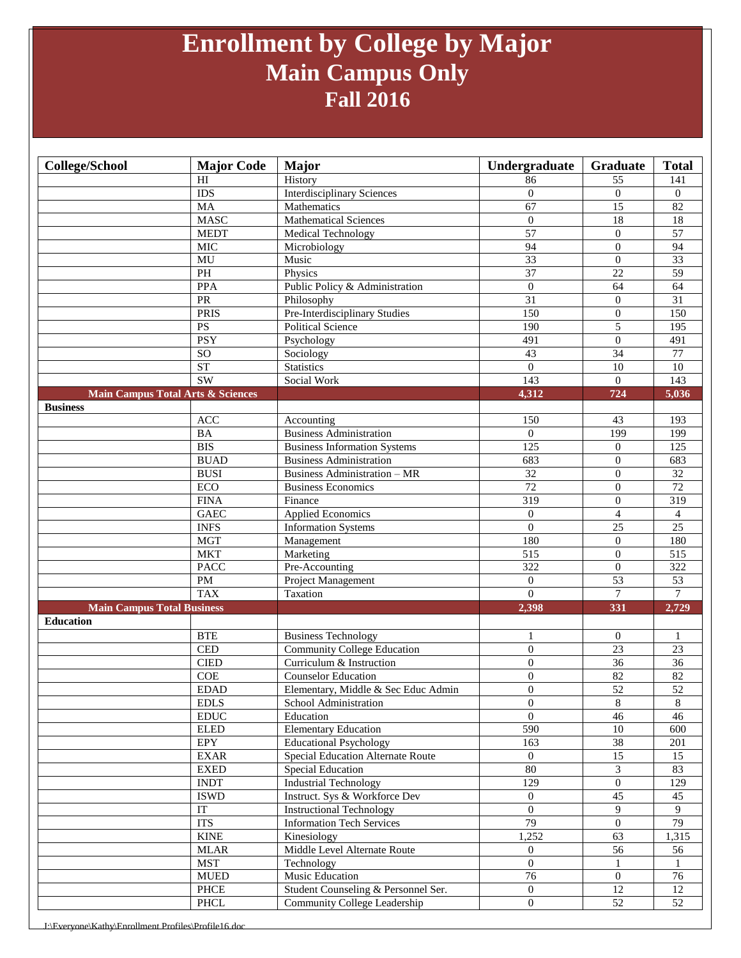### **Enrollment by College by Major Main Campus Only Fall 2016**

| <b>College/School</b>                        | <b>Major Code</b>                           | <b>Major</b>                             | Undergraduate    | Graduate         | <b>Total</b>     |
|----------------------------------------------|---------------------------------------------|------------------------------------------|------------------|------------------|------------------|
|                                              | HI                                          | History                                  | 86               | 55               | 141              |
|                                              | <b>IDS</b>                                  | <b>Interdisciplinary Sciences</b>        | $\overline{0}$   | $\theta$         | $\Omega$         |
|                                              | <b>MA</b>                                   | Mathematics                              | 67               | 15               | 82               |
|                                              | <b>MASC</b>                                 | <b>Mathematical Sciences</b>             | $\overline{0}$   | 18               | 18               |
|                                              | <b>MEDT</b>                                 | <b>Medical Technology</b>                | 57               | $\theta$         | $\overline{57}$  |
|                                              | <b>MIC</b>                                  | Microbiology                             | 94               | $\overline{0}$   | 94               |
|                                              | MU                                          | Music                                    | $\overline{33}$  | $\theta$         | $\overline{33}$  |
|                                              | $\overline{PH}$                             | Physics                                  | $\overline{37}$  | $\overline{22}$  | 59               |
|                                              | <b>PPA</b>                                  | Public Policy & Administration           | $\overline{0}$   | 64               | 64               |
|                                              | PR                                          | Philosophy                               | $\overline{31}$  | $\theta$         | 31               |
|                                              | <b>PRIS</b>                                 | Pre-Interdisciplinary Studies            | 150              | $\boldsymbol{0}$ | 150              |
|                                              | PS                                          | <b>Political Science</b>                 | 190              | 5                | 195              |
|                                              | <b>PSY</b>                                  | Psychology                               | 491              | $\boldsymbol{0}$ | 491              |
|                                              | <sub>SO</sub>                               | Sociology                                | 43               | $\overline{34}$  | $\overline{77}$  |
|                                              | <b>ST</b>                                   | <b>Statistics</b>                        | $\mathbf{0}$     | 10               | 10               |
|                                              | <b>SW</b>                                   | Social Work                              | 143              | $\overline{0}$   | 143              |
| <b>Main Campus Total Arts &amp; Sciences</b> |                                             |                                          | 4,312            | 724              | 5,036            |
| <b>Business</b>                              |                                             |                                          |                  |                  |                  |
|                                              | ACC                                         | Accounting                               | 150              | 43               | 193              |
|                                              | <b>BA</b>                                   | <b>Business Administration</b>           | $\overline{0}$   | 199              | 199              |
|                                              | <b>BIS</b>                                  | <b>Business Information Systems</b>      | $\overline{125}$ | $\mathbf{0}$     | 125              |
|                                              | <b>BUAD</b>                                 | <b>Business Administration</b>           | 683              | $\overline{0}$   | 683              |
|                                              | <b>BUSI</b>                                 | <b>Business Administration - MR</b>      | 32               | $\mathbf{0}$     | 32               |
|                                              | $\rm ECO$                                   | <b>Business Economics</b>                | 72               | $\overline{0}$   | $\overline{72}$  |
|                                              | <b>FINA</b>                                 | Finance                                  | $\overline{319}$ | $\overline{0}$   | $\overline{319}$ |
|                                              | <b>GAEC</b>                                 | <b>Applied Economics</b>                 | $\overline{0}$   | $\overline{4}$   | 4                |
|                                              | <b>INFS</b>                                 | <b>Information Systems</b>               | $\boldsymbol{0}$ | $\overline{25}$  | $\overline{25}$  |
|                                              | <b>MGT</b>                                  | Management                               | 180              | $\theta$         | 180              |
|                                              | <b>MKT</b>                                  | Marketing                                | 515              | $\theta$         | $\overline{515}$ |
|                                              | <b>PACC</b>                                 | Pre-Accounting                           | 322              | $\boldsymbol{0}$ | 322              |
|                                              | PM                                          | Project Management                       | $\mathbf{0}$     | $\overline{53}$  | 53               |
|                                              | <b>TAX</b>                                  | Taxation                                 | $\Omega$         | $\overline{7}$   | $\overline{7}$   |
| <b>Main Campus Total Business</b>            |                                             |                                          | 2,398            | 331              | 2,729            |
| <b>Education</b>                             |                                             |                                          |                  |                  |                  |
|                                              | <b>BTE</b>                                  | <b>Business Technology</b>               | $\mathbf{1}$     | $\boldsymbol{0}$ | $\mathbf{1}$     |
|                                              | <b>CED</b>                                  | <b>Community College Education</b>       | $\overline{0}$   | 23               | 23               |
|                                              | <b>CIED</b>                                 | Curriculum & Instruction                 | $\overline{0}$   | 36               | 36               |
|                                              | COE                                         | <b>Counselor Education</b>               | $\boldsymbol{0}$ | 82               | 82               |
|                                              | <b>EDAD</b>                                 | Elementary, Middle & Sec Educ Admin      | $\overline{0}$   | $\overline{52}$  | 52               |
|                                              | $\operatorname{EDLS}$                       | School Administration                    | $\mathbf{0}$     | $8\,$            | 8                |
|                                              | $\mathop{\rm EDUC}\nolimits$                | Education                                | $\boldsymbol{0}$ | $\overline{46}$  | 46               |
|                                              |                                             |                                          |                  |                  |                  |
|                                              | <b>ELED</b>                                 | <b>Elementary Education</b>              | 590              | $10\,$           | 600              |
|                                              | EPY                                         | <b>Educational Psychology</b>            | 163              | 38               | 201              |
|                                              | <b>EXAR</b>                                 | <b>Special Education Alternate Route</b> | $\overline{0}$   | $\overline{15}$  | 15               |
|                                              | <b>EXED</b>                                 | Special Education                        | 80               | 3                | 83               |
|                                              | <b>INDT</b>                                 | <b>Industrial Technology</b>             | 129              | $\overline{0}$   | 129              |
|                                              | <b>ISWD</b>                                 | Instruct. Sys & Workforce Dev            | $\mathbf{0}$     | $\overline{45}$  | 45               |
|                                              | IT                                          | <b>Instructional Technology</b>          | $\mathbf{0}$     | 9                | 9                |
|                                              | <b>ITS</b>                                  | <b>Information Tech Services</b>         | $\overline{79}$  | $\overline{0}$   | 79               |
|                                              | <b>KINE</b>                                 | Kinesiology                              | 1,252            | 63               | 1,315            |
|                                              | $MLAR$                                      | Middle Level Alternate Route             | $\mathbf{0}$     | 56               | 56               |
|                                              | <b>MST</b>                                  | Technology                               | $\overline{0}$   |                  |                  |
|                                              | ${\bf MUED}$                                | Music Education                          | $\overline{76}$  | $\mathbf{0}$     | 76               |
|                                              | PHCE<br>$\ensuremath{\mathsf{PHCL}}\xspace$ | Student Counseling & Personnel Ser.      | $\overline{0}$   | 12<br>52         | 12<br>52         |

J:\Everyone\Kathy\Enrollment Profiles\Profile16.d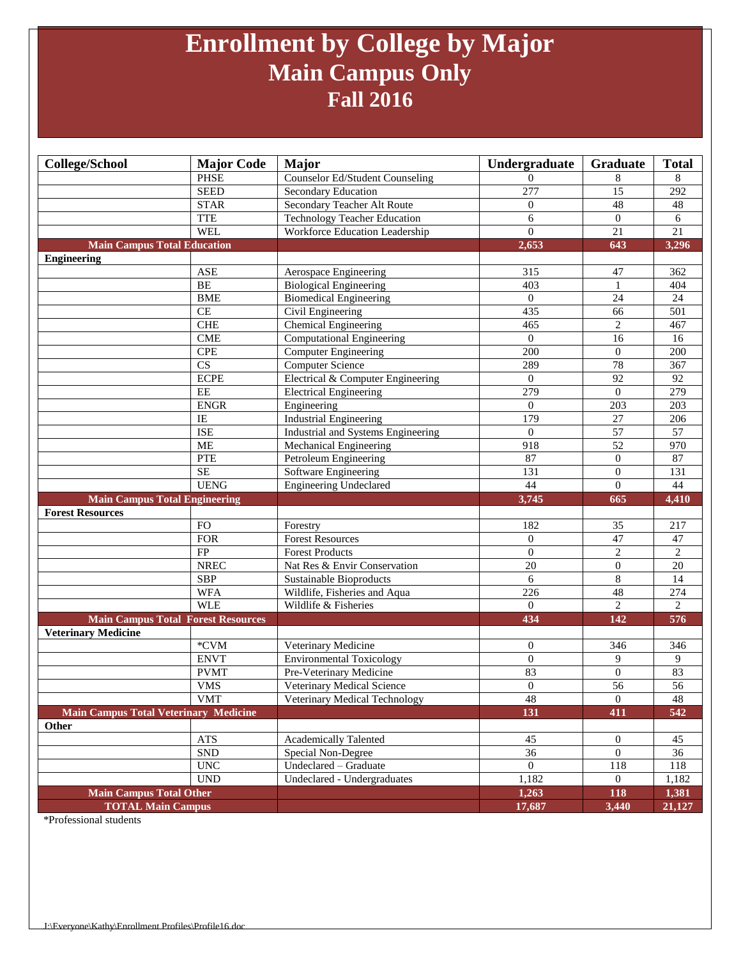### **Enrollment by College by Major Main Campus Only Fall 2016**

| <b>College/School</b>                                      | <b>Major Code</b>         | Major                                  | Undergraduate    | Graduate         | <b>Total</b>    |
|------------------------------------------------------------|---------------------------|----------------------------------------|------------------|------------------|-----------------|
|                                                            | <b>PHSE</b>               | <b>Counselor Ed/Student Counseling</b> | $\Omega$         | 8                | 8               |
|                                                            | <b>SEED</b>               | Secondary Education                    | $\overline{277}$ | $\overline{15}$  | 292             |
|                                                            | <b>STAR</b>               | Secondary Teacher Alt Route            | $\overline{0}$   | 48               | 48              |
|                                                            | <b>TTE</b>                | <b>Technology Teacher Education</b>    | 6                | $\overline{0}$   | 6               |
|                                                            | <b>WEL</b>                | Workforce Education Leadership         | $\Omega$         | $21\,$           | 21              |
| <b>Main Campus Total Education</b>                         |                           |                                        | 2,653            | 643              | 3,296           |
| <b>Engineering</b>                                         |                           |                                        |                  |                  |                 |
|                                                            | <b>ASE</b>                | Aerospace Engineering                  | 315              | 47               | 362             |
|                                                            | BE                        | <b>Biological Engineering</b>          | 403              | $\mathbf{1}$     | 404             |
|                                                            | <b>BME</b>                | <b>Biomedical Engineering</b>          | $\overline{0}$   | 24               | 24              |
|                                                            | CE                        | Civil Engineering                      | 435              | 66               | 501             |
|                                                            | ${\rm CHE}$               | <b>Chemical Engineering</b>            | 465              | $\mathbf{2}$     | 467             |
|                                                            | <b>CME</b>                | <b>Computational Engineering</b>       | $\overline{0}$   | 16               | 16              |
|                                                            | <b>CPE</b>                | Computer Engineering                   | $\overline{200}$ | $\overline{0}$   | 200             |
|                                                            | $\overline{\text{CS}}$    | <b>Computer Science</b>                | 289              | 78               | 367             |
|                                                            | <b>ECPE</b>               | Electrical & Computer Engineering      | $\overline{0}$   | $\overline{92}$  | 92              |
|                                                            | EE                        | <b>Electrical Engineering</b>          | 279              | $\theta$         | 279             |
|                                                            | <b>ENGR</b>               | Engineering                            | $\Omega$         | 203              | 203             |
|                                                            | IE                        | <b>Industrial Engineering</b>          | 179              | 27               | 206             |
|                                                            | <b>ISE</b>                | Industrial and Systems Engineering     | $\Omega$         | $\overline{57}$  | 57              |
|                                                            | <b>ME</b>                 | Mechanical Engineering                 | 918              | $\overline{52}$  | 970             |
|                                                            | PTE                       | Petroleum Engineering                  | 87               | $\overline{0}$   | 87              |
|                                                            | <b>SE</b>                 | Software Engineering                   | 131              | $\overline{0}$   | 131             |
|                                                            | <b>UENG</b>               | <b>Engineering Undeclared</b>          | 44               | $\overline{0}$   | 44              |
| <b>Main Campus Total Engineering</b>                       |                           |                                        | 3,745            | 665              | 4,410           |
|                                                            |                           |                                        |                  |                  |                 |
| <b>Forest Resources</b>                                    |                           |                                        |                  |                  |                 |
|                                                            | <b>FO</b>                 | Forestry                               | 182              | 35               | 217             |
|                                                            | <b>FOR</b>                | <b>Forest Resources</b>                | $\overline{0}$   | 47               | 47              |
|                                                            | FP                        | <b>Forest Products</b>                 | $\overline{0}$   | $\overline{2}$   | $\overline{2}$  |
|                                                            | <b>NREC</b>               | Nat Res & Envir Conservation           | 20               | $\theta$         | $20\,$          |
|                                                            | <b>SBP</b>                | Sustainable Bioproducts                | 6                | 8                | 14              |
|                                                            | <b>WFA</b>                | Wildlife, Fisheries and Aqua           | 226              | 48               | 274             |
|                                                            | <b>WLE</b>                | Wildlife & Fisheries                   | $\Omega$         | $\overline{c}$   | $\overline{2}$  |
| <b>Main Campus Total Forest Resources</b>                  |                           |                                        | 434              | 142              | 576             |
| <b>Veterinary Medicine</b>                                 |                           |                                        |                  |                  |                 |
|                                                            | $*CVM$                    | Veterinary Medicine                    | $\mathbf{0}$     | 346              | 346             |
|                                                            | <b>ENVT</b>               | <b>Environmental Toxicology</b>        | $\overline{0}$   | 9                | 9               |
|                                                            | <b>PVMT</b>               | Pre-Veterinary Medicine                | 83               | $\overline{0}$   | 83              |
|                                                            | <b>VMS</b>                | Veterinary Medical Science             | $\overline{0}$   | $\overline{56}$  | $\overline{56}$ |
|                                                            | <b>VMT</b>                | Veterinary Medical Technology          | 48               | $\boldsymbol{0}$ | 48              |
| <b>Main Campus Total Veterinary Medicine</b>               |                           |                                        | 131              | 411              | 542             |
| Other                                                      |                           |                                        |                  |                  |                 |
|                                                            | ATS                       | <b>Academically Talented</b>           | 45               | $\boldsymbol{0}$ | 45              |
|                                                            | ${\rm SND}$               | Special Non-Degree                     | $\overline{36}$  | $\overline{0}$   | 36              |
|                                                            | $\ensuremath{\text{UNC}}$ | Undeclared - Graduate                  | $\overline{0}$   | 118              | 118             |
|                                                            | <b>UND</b>                | Undeclared - Undergraduates            | 1,182            | $\overline{0}$   | 1,182           |
| <b>Main Campus Total Other</b><br><b>TOTAL Main Campus</b> |                           |                                        | 1,263<br>17,687  | 118<br>3,440     | 1,381<br>21,127 |

\*Professional students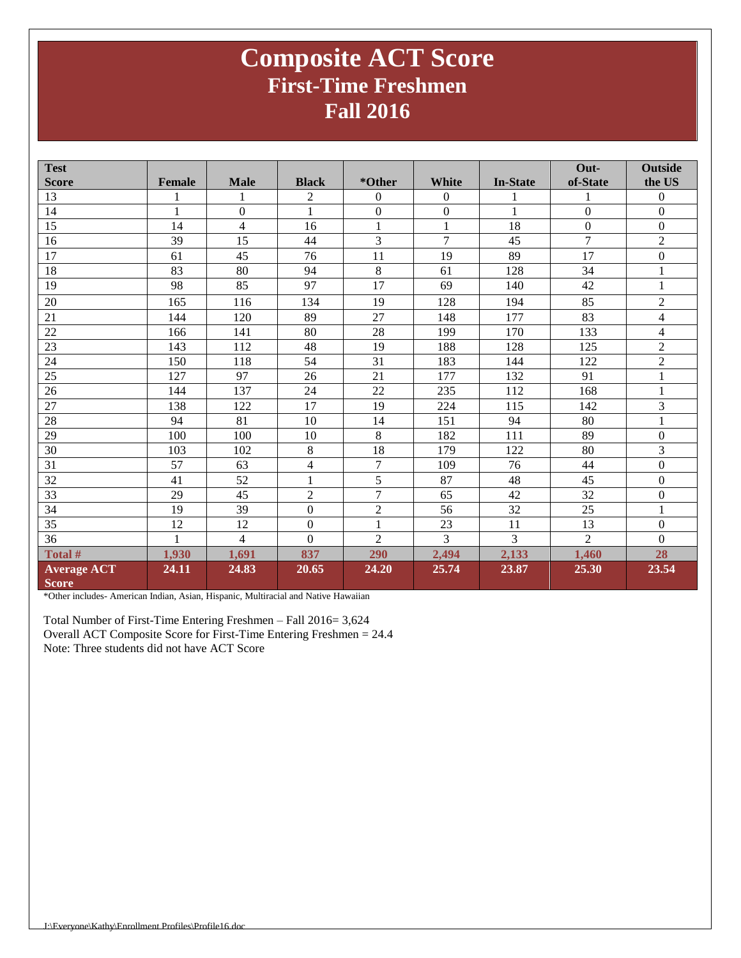### **Composite ACT Score First-Time Freshmen Fall 2016**

| <b>Test</b>        |               |                |                  |                  |                  |                 | Out-             | <b>Outside</b>           |
|--------------------|---------------|----------------|------------------|------------------|------------------|-----------------|------------------|--------------------------|
| <b>Score</b>       | <b>Female</b> | <b>Male</b>    | <b>Black</b>     | *Other           | White            | <b>In-State</b> | of-State         | the US                   |
| 13                 |               |                | 2                | $\Omega$         | $\mathbf{0}$     |                 |                  | $\theta$                 |
| 14                 | 1             | $\overline{0}$ | 1                | $\boldsymbol{0}$ | $\boldsymbol{0}$ | 1               | $\overline{0}$   | $\boldsymbol{0}$         |
| 15                 | 14            | $\overline{4}$ | 16               | $\mathbf{1}$     | $\mathbf{1}$     | 18              | $\boldsymbol{0}$ | $\boldsymbol{0}$         |
| 16                 | 39            | 15             | 44               | 3                | $\overline{7}$   | 45              | $\overline{7}$   | $\overline{2}$           |
| 17                 | 61            | 45             | 76               | 11               | 19               | 89              | 17               | $\boldsymbol{0}$         |
| 18                 | 83            | 80             | 94               | $\,8\,$          | 61               | 128             | 34               | $\mathbf{1}$             |
| 19                 | 98            | 85             | 97               | 17               | 69               | 140             | 42               | $\mathbf{1}$             |
| 20                 | 165           | 116            | 134              | 19               | 128              | 194             | 85               | $\overline{2}$           |
| 21                 | 144           | 120            | 89               | 27               | 148              | 177             | 83               | $\overline{4}$           |
| 22                 | 166           | 141            | 80               | 28               | 199              | 170             | 133              | $\overline{\mathcal{L}}$ |
| 23                 | 143           | 112            | 48               | 19               | 188              | 128             | 125              | $\overline{2}$           |
| 24                 | 150           | 118            | $\overline{54}$  | $\overline{31}$  | 183              | 144             | 122              | $\overline{2}$           |
| 25                 | 127           | 97             | 26               | 21               | 177              | 132             | 91               | $\mathbf{1}$             |
| 26                 | 144           | 137            | 24               | 22               | 235              | 112             | 168              | $\mathbf{1}$             |
| 27                 | 138           | 122            | 17               | 19               | 224              | 115             | 142              | 3                        |
| $28\,$             | 94            | 81             | 10               | 14               | 151              | 94              | 80               | $\,1\,$                  |
| 29                 | 100           | 100            | 10               | 8                | 182              | 111             | 89               | $\boldsymbol{0}$         |
| 30                 | 103           | 102            | 8                | 18               | 179              | 122             | 80               | 3                        |
| 31                 | 57            | 63             | 4                | $\overline{7}$   | 109              | 76              | 44               | $\boldsymbol{0}$         |
| 32                 | 41            | 52             | 1                | 5                | 87               | 48              | 45               | $\boldsymbol{0}$         |
| 33                 | 29            | 45             | $\overline{2}$   | $\overline{7}$   | 65               | 42              | 32               | $\boldsymbol{0}$         |
| 34                 | 19            | 39             | $\overline{0}$   | $\sqrt{2}$       | 56               | 32              | 25               | $\mathbf{1}$             |
| 35                 | 12            | 12             | $\boldsymbol{0}$ | $\mathbf{1}$     | 23               | 11              | 13               | $\boldsymbol{0}$         |
| 36                 | 1             | $\overline{4}$ | $\Omega$         | $\overline{2}$   | 3                | 3               | $\overline{2}$   | $\boldsymbol{0}$         |
| Total #            | 1,930         | 1,691          | 837              | 290              | 2,494            | 2,133           | 1,460            | 28                       |
| <b>Average ACT</b> | 24.11         | 24.83          | 20.65            | 24.20            | 25.74            | 23.87           | 25.30            | 23.54                    |
| <b>Score</b>       |               |                |                  |                  |                  |                 |                  |                          |

\*Other includes- American Indian, Asian, Hispanic, Multiracial and Native Hawaiian

Total Number of First-Time Entering Freshmen – Fall 2016= 3,624 Overall ACT Composite Score for First-Time Entering Freshmen = 24.4 Note: Three students did not have ACT Score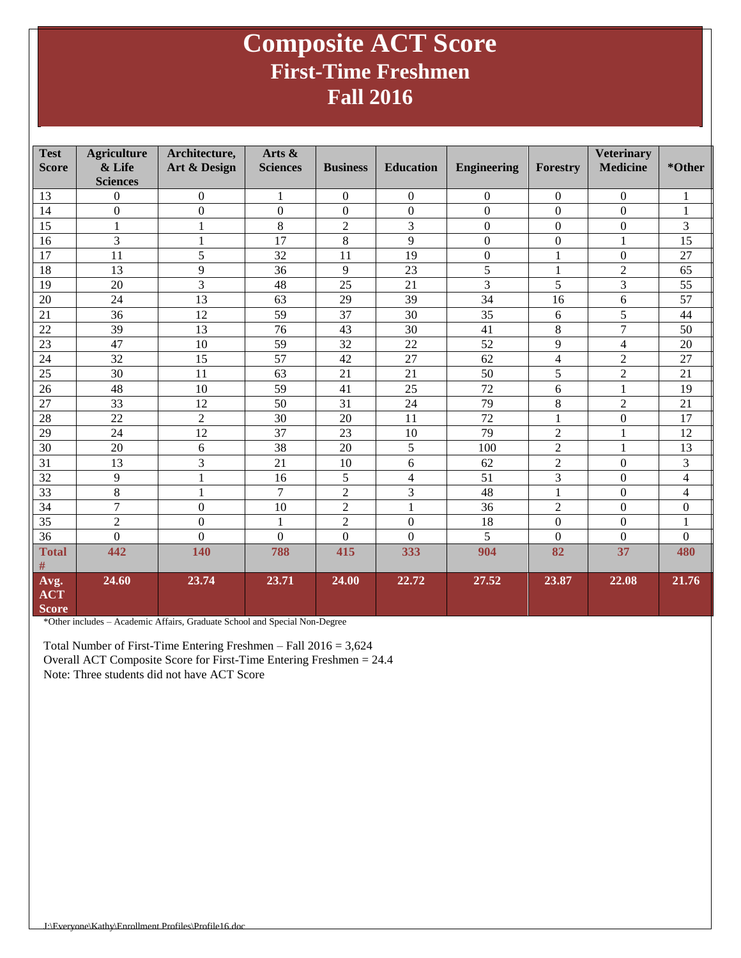### **Composite ACT Score First-Time Freshmen Fall 2016**

| <b>Test</b><br><b>Score</b>        | <b>Agriculture</b><br>& Life<br><b>Sciences</b> | Architecture,<br>Art & Design | Arts $\&$<br><b>Sciences</b> | <b>Business</b>  | <b>Education</b> | <b>Engineering</b> | <b>Forestry</b>  | <b>Veterinary</b><br><b>Medicine</b> | *Other                   |
|------------------------------------|-------------------------------------------------|-------------------------------|------------------------------|------------------|------------------|--------------------|------------------|--------------------------------------|--------------------------|
| 13                                 | $\boldsymbol{0}$                                | $\boldsymbol{0}$              | $\mathbf{1}$                 | $\boldsymbol{0}$ | $\boldsymbol{0}$ | $\boldsymbol{0}$   | $\boldsymbol{0}$ | $\Omega$                             | 1                        |
| 14                                 | $\overline{0}$                                  | $\overline{0}$                | $\mathbf{0}$                 | $\boldsymbol{0}$ | $\boldsymbol{0}$ | $\mathbf{0}$       | $\Omega$         | $\overline{0}$                       | $\mathbf{1}$             |
| 15                                 | $\mathbf{1}$                                    | 1                             | 8                            | $\mathbf{2}$     | 3                | $\boldsymbol{0}$   | $\boldsymbol{0}$ | $\boldsymbol{0}$                     | 3                        |
| 16                                 | 3                                               | $\mathbf{1}$                  | 17                           | 8                | 9                | $\boldsymbol{0}$   | $\boldsymbol{0}$ | 1                                    | 15                       |
| 17                                 | 11                                              | 5                             | 32                           | 11               | 19               | $\boldsymbol{0}$   | 1                | $\mathbf{0}$                         | 27                       |
| 18                                 | 13                                              | 9                             | 36                           | 9                | 23               | $\overline{5}$     | 1                | $\overline{2}$                       | 65                       |
| 19                                 | 20                                              | 3                             | 48                           | 25               | 21               | 3                  | 5                | 3                                    | 55                       |
| 20                                 | 24                                              | 13                            | 63                           | 29               | 39               | 34                 | 16               | 6                                    | 57                       |
| 21                                 | 36                                              | 12                            | 59                           | 37               | 30               | 35                 | 6                | 5                                    | 44                       |
| 22                                 | 39                                              | 13                            | 76                           | 43               | 30               | 41                 | 8                | $\overline{7}$                       | 50                       |
| 23                                 | 47                                              | 10                            | 59                           | 32               | 22               | 52                 | 9                | $\overline{4}$                       | 20                       |
| 24                                 | 32                                              | 15                            | 57                           | 42               | 27               | 62                 | 4                | $\overline{2}$                       | 27                       |
| 25                                 | 30                                              | 11                            | 63                           | 21               | 21               | 50                 | 5                | $\overline{2}$                       | 21                       |
| 26                                 | 48                                              | 10                            | 59                           | 41               | 25               | 72                 | 6                | $\mathbf{1}$                         | 19                       |
| 27                                 | 33                                              | 12                            | 50                           | 31               | 24               | 79                 | 8                | $\overline{2}$                       | 21                       |
| 28                                 | 22                                              | $\overline{2}$                | 30                           | 20               | 11               | $\overline{72}$    | $\mathbf{1}$     | $\boldsymbol{0}$                     | 17                       |
| 29                                 | 24                                              | 12                            | 37                           | 23               | 10               | 79                 | $\mathbf{2}$     | 1                                    | 12                       |
| 30                                 | 20                                              | 6                             | 38                           | 20               | 5                | 100                | $\mathbf{2}$     |                                      | 13                       |
| $\overline{31}$                    | 13                                              | $\overline{3}$                | 21                           | 10               | 6                | 62                 | $\overline{2}$   | $\Omega$                             | 3                        |
| 32                                 | 9                                               | 1                             | 16                           | 5                | $\overline{4}$   | 51                 | 3                | $\overline{0}$                       | $\overline{\mathcal{L}}$ |
| 33                                 | 8                                               | $\mathbf{1}$                  | $\overline{7}$               | $\overline{2}$   | 3                | 48                 | 1                | $\Omega$                             | 4                        |
| 34                                 | $\overline{7}$                                  | $\boldsymbol{0}$              | 10                           | $\overline{2}$   | $\mathbf{1}$     | 36                 | $\overline{c}$   | $\Omega$                             | $\boldsymbol{0}$         |
| 35                                 | $\overline{2}$                                  | $\overline{0}$                | $\mathbf{1}$                 | $\overline{c}$   | $\overline{0}$   | 18                 | $\boldsymbol{0}$ | $\mathbf{0}$                         | $\mathbf{1}$             |
| 36                                 | $\overline{0}$                                  | $\overline{0}$                | $\mathbf{0}$                 | $\boldsymbol{0}$ | $\Omega$         | 5                  | $\mathbf{0}$     | $\mathbf{0}$                         | $\Omega$                 |
| <b>Total</b>                       | 442                                             | 140                           | 788                          | 415              | 333              | 904                | 82               | 37                                   | 480                      |
| $\#$                               |                                                 |                               |                              |                  |                  |                    |                  |                                      |                          |
| Avg.<br><b>ACT</b><br><b>Score</b> | 24.60                                           | 23.74                         | 23.71                        | 24.00            | 22.72            | 27.52              | 23.87            | 22.08                                | 21.76                    |

\*Other includes – Academic Affairs, Graduate School and Special Non-Degree

Total Number of First-Time Entering Freshmen – Fall 2016 = 3,624 Overall ACT Composite Score for First-Time Entering Freshmen = 24.4 Note: Three students did not have ACT Score